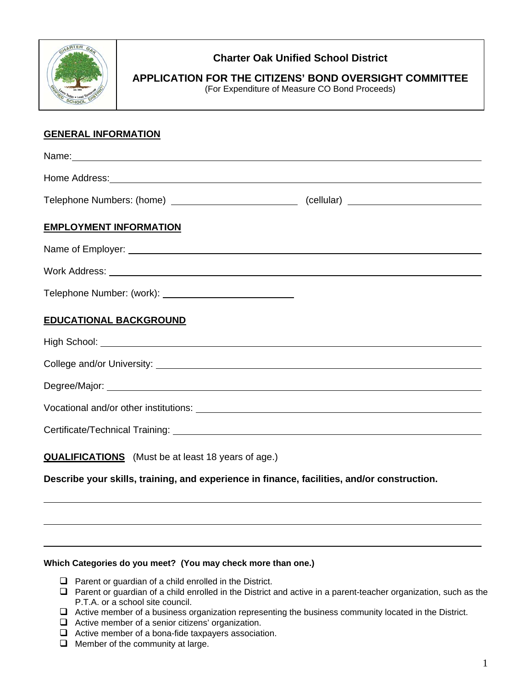

## **Charter Oak Unified School District**

**APPLICATION FOR THE CITIZENS' BOND OVERSIGHT COMMITTEE**  (For Expenditure of Measure CO Bond Proceeds)

## **GENERAL INFORMATION**

| Name: Name: Name: Name: Name: Name: Name: Name: Name: Name: Name: Name: Name: Name: Name: Name: Name: Name: Name: Name: Name: Name: Name: Name: Name: Name: Name: Name: Name: Name: Name: Name: Name: Name: Name: Name: Name:  |  |
|--------------------------------------------------------------------------------------------------------------------------------------------------------------------------------------------------------------------------------|--|
| Home Address: Note and the second contract of the second contract of the second contract of the second contract of the second contract of the second contract of the second contract of the second contract of the second cont |  |
| Telephone Numbers: (home) __________________________________(cellular) _____________________________                                                                                                                           |  |
| <b>EMPLOYMENT INFORMATION</b>                                                                                                                                                                                                  |  |
|                                                                                                                                                                                                                                |  |
|                                                                                                                                                                                                                                |  |
|                                                                                                                                                                                                                                |  |
| <b>EDUCATIONAL BACKGROUND</b>                                                                                                                                                                                                  |  |
|                                                                                                                                                                                                                                |  |
|                                                                                                                                                                                                                                |  |
|                                                                                                                                                                                                                                |  |
|                                                                                                                                                                                                                                |  |
|                                                                                                                                                                                                                                |  |
| <b>QUALIFICATIONS</b> (Must be at least 18 years of age.)                                                                                                                                                                      |  |
| Describe your skills, training, and experience in finance, facilities, and/or construction.                                                                                                                                    |  |

## **Which Categories do you meet? (You may check more than one.)**

- $\Box$  Parent or guardian of a child enrolled in the District.
- $\Box$  Parent or guardian of a child enrolled in the District and active in a parent-teacher organization, such as the P.T.A. or a school site council.
- Active member of a business organization representing the business community located in the District.
- $\Box$  Active member of a senior citizens' organization.
- $\Box$  Active member of a bona-fide taxpayers association.
- $\Box$  Member of the community at large.